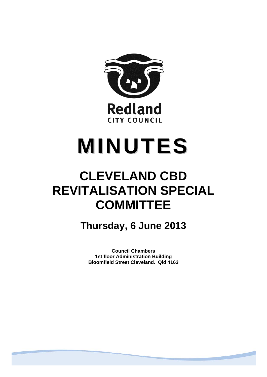

# **MINUTES**

## **CLEVELAND CBD REVITALISATION SPECIAL COMMITTEE**

**Thursday, 6 June 2013** 

**Council Chambers 1st floor Administration Building Bloomfield Street Cleveland. Qld 4163**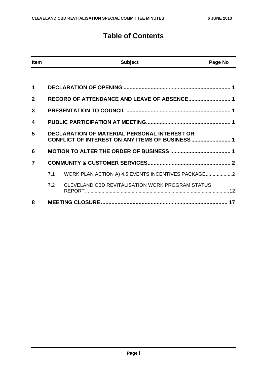### **Table of Contents**

| <b>Item</b>    |     | <b>Subject</b>                                                                                         | Page No |
|----------------|-----|--------------------------------------------------------------------------------------------------------|---------|
|                |     |                                                                                                        |         |
| 1              |     |                                                                                                        |         |
| $\overline{2}$ |     | RECORD OF ATTENDANCE AND LEAVE OF ABSENCE 1                                                            |         |
| 3              |     |                                                                                                        |         |
| 4              |     |                                                                                                        |         |
| 5              |     | <b>DECLARATION OF MATERIAL PERSONAL INTEREST OR</b><br>CONFLICT OF INTEREST ON ANY ITEMS OF BUSINESS 1 |         |
| 6              |     |                                                                                                        |         |
| 7              |     |                                                                                                        |         |
|                | 7.1 | WORK PLAN ACTION A) 4.5 EVENTS INCENTIVES PACKAGE                                                      |         |
|                | 7.2 | CLEVELAND CBD REVITALISATION WORK PROGRAM STATUS                                                       |         |
| 8              |     |                                                                                                        |         |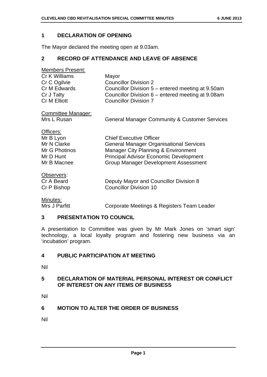#### **1 DECLARATION OF OPENING**

The Mayor declared the meeting open at 9.03am.

#### **2 RECORD OF ATTENDANCE AND LEAVE OF ABSENCE**

| <b>Members Present:</b> |                                                   |
|-------------------------|---------------------------------------------------|
| Cr K Williams           | Mayor                                             |
| Cr C Ogilvie            | <b>Councillor Division 2</b>                      |
| Cr M Edwards            | Councillor Division 5 – entered meeting at 9.50am |
| Cr J Talty              | Councillor Division 6 – entered meeting at 9.08am |
| <b>Cr M Elliott</b>     | <b>Councillor Division 7</b>                      |
|                         |                                                   |

Committee Manager:

Mrs L Rusan General Manager Community & Customer Services

|  | Officers:     |
|--|---------------|
|  | Mr B Lyon     |
|  | Mr N Clarke   |
|  | Mr G Photinos |
|  | 11. DII 1     |

| Mr G Photinos | Manager City Planning & Environment           |
|---------------|-----------------------------------------------|
| Mr D Hunt     | <b>Principal Advisor Economic Development</b> |
| Mr B Macnee   | <b>Group Manager Development Assessment</b>   |
|               |                                               |

**Chief Executive Officer** 

Observers:

| Cr A Beard  | Deputy Mayor and Councillor Division 8 |
|-------------|----------------------------------------|
| Cr P Bishop | <b>Councillor Division 10</b>          |

Minutes:

Mrs J Parfitt **Corporate Meetings & Registers Team Leader** 

**General Manager Organisational Services** 

#### **3 PRESENTATION TO COUNCIL**

A presentation to Committee was given by Mr Mark Jones on 'smart sign' technology, a local loyalty program and fostering new business via an 'incubation' program.

#### **4 PUBLIC PARTICIPATION AT MEETING**

Nil

#### **5 DECLARATION OF MATERIAL PERSONAL INTEREST OR CONFLICT OF INTEREST ON ANY ITEMS OF BUSINESS**

Nil

#### **6 MOTION TO ALTER THE ORDER OF BUSINESS**

Nil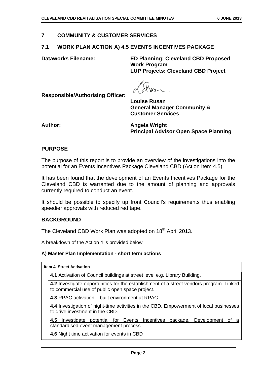#### **7 COMMUNITY & CUSTOMER SERVICES**

#### **7.1 WORK PLAN ACTION A) 4.5 EVENTS INCENTIVES PACKAGE**

**Dataworks Filename: ED Planning: Cleveland CBD Proposed Work Program LUP Projects: Cleveland CBD Project** 

**Customer Services** 

**Responsible/Authorising Officer: Louise Rusan General Manager Community &** 

Author: **Author: Angela Wright Angela Wright Principal Advisor Open Space Planning** 

#### **PURPOSE**

The purpose of this report is to provide an overview of the investigations into the potential for an Events Incentives Package Cleveland CBD (Action Item 4.5).

It has been found that the development of an Events Incentives Package for the Cleveland CBD is warranted due to the amount of planning and approvals currently required to conduct an event.

It should be possible to specify up front Council's requirements thus enabling speedier approvals with reduced red tape.

#### **BACKGROUND**

The Cleveland CBD Work Plan was adopted on 18<sup>th</sup> April 2013.

A breakdown of the Action 4 is provided below

#### **A) Master Plan Implementation - short term actions**

| <b>Item 4. Street Activation</b>                                                                                                           |
|--------------------------------------------------------------------------------------------------------------------------------------------|
| 4.1 Activation of Council buildings at street level e.g. Library Building.                                                                 |
| 4.2 Investigate opportunities for the establishment of a street vendors program. Linked<br>to commercial use of public open space project. |
| 4.3 RPAC activation – built environment at RPAC                                                                                            |
| 4.4 Investigation of night-time activities in the CBD. Empowerment of local businesses<br>to drive investment in the CBD.                  |
| Investigate potential for Events Incentives package. Development of a<br>4.5<br>standardised event management process                      |
| 4.6 Night time activation for events in CBD                                                                                                |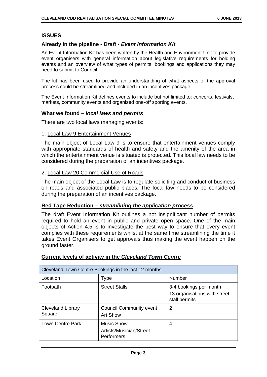#### **ISSUES**

#### **Already in the pipeline -** *Draft - Event Information Kit*

An Event Information Kit has been written by the Health and Environment Unit to provide event organisers with general information about legislative requirements for holding events and an overview of what types of permits, bookings and applications they may need to submit to Council.

The kit has been used to provide an understanding of what aspects of the approval process could be streamlined and included in an incentives package.

The Event Information Kit defines events to include but not limited to: concerts, festivals, markets, community events and organised one-off sporting events.

#### **What we found –** *local laws and permits*

There are two local laws managing events:

#### 1. Local Law 9 Entertainment Venues

The main object of Local Law 9 is to ensure that entertainment venues comply with appropriate standards of health and safety and the amenity of the area in which the entertainment venue is situated is protected. This local law needs to be considered during the preparation of an incentives package.

#### 2. Local Law 20 Commercial Use of Roads

The main object of the Local Law is to regulate soliciting and conduct of business on roads and associated public places. The local law needs to be considered during the preparation of an incentives package.

#### **Red Tape Reduction –** *streamlining the application process*

The draft Event Information Kit outlines a not insignificant number of permits required to hold an event in public and private open space. One of the main objects of Action 4.5 is to investigate the best way to ensure that every event complies with these requirements whilst at the same time streamlining the time it takes Event Organisers to get approvals thus making the event happen on the ground faster.

| Cleveland Town Centre Bookings in the last 12 months |                                                            |                                                                         |
|------------------------------------------------------|------------------------------------------------------------|-------------------------------------------------------------------------|
| Location                                             | Type                                                       | Number                                                                  |
| Footpath                                             | <b>Street Stalls</b>                                       | 3-4 bookings per month<br>13 organisations with street<br>stall permits |
| <b>Cleveland Library</b><br>Square                   | <b>Council Community event</b><br><b>Art Show</b>          | 2                                                                       |
| <b>Town Centre Park</b>                              | <b>Music Show</b><br>Artists/Musician/Street<br>Performers | 4                                                                       |

#### **Current levels of activity in the** *Cleveland Town Centre*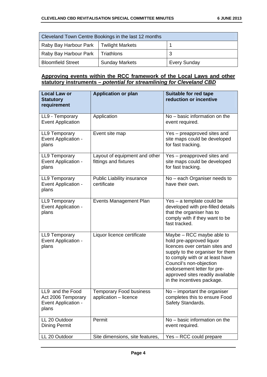| Cleveland Town Centre Bookings in the last 12 months |                       |                     |
|------------------------------------------------------|-----------------------|---------------------|
| Raby Bay Harbour Park   Twilight Markets             |                       |                     |
| Raby Bay Harbour Park                                | Triathlons            |                     |
| <b>Bloomfield Street</b>                             | <b>Sunday Markets</b> | <b>Every Sunday</b> |

#### **Approving events within the RCC framework of the Local Laws and other statutory instruments –** *potential for streamlining for Cleveland CBD*

| <b>Local Law or</b><br><b>Statutory</b><br>requirement                        | <b>Application or plan</b>                              | Suitable for red tape<br>reduction or incentive                                                                                                                                                                                                                                             |
|-------------------------------------------------------------------------------|---------------------------------------------------------|---------------------------------------------------------------------------------------------------------------------------------------------------------------------------------------------------------------------------------------------------------------------------------------------|
| LL9 - Temporary<br><b>Event Application</b>                                   | Application                                             | No - basic information on the<br>event required.                                                                                                                                                                                                                                            |
| LL9 Temporary<br>Event Application -<br>plans                                 | Event site map                                          | Yes – preapproved sites and<br>site maps could be developed<br>for fast tracking.                                                                                                                                                                                                           |
| <b>LL9 Temporary</b><br>Event Application -<br>plans                          | Layout of equipment and other<br>fittings and fixtures  | Yes - preapproved sites and<br>site maps could be developed<br>for fast tracking.                                                                                                                                                                                                           |
| <b>LL9 Temporary</b><br>Event Application -<br>plans                          | <b>Public Liability insurance</b><br>certificate        | No - each Organiser needs to<br>have their own.                                                                                                                                                                                                                                             |
| <b>LL9 Temporary</b><br>Event Application -<br>plans                          | <b>Events Management Plan</b>                           | Yes - a template could be<br>developed with pre-filled details<br>that the organiser has to<br>comply with if they want to be<br>fast tracked.                                                                                                                                              |
| LL9 Temporary<br>Event Application -<br>plans                                 | Liquor licence certificate                              | Maybe - RCC maybe able to<br>hold pre-approved liquor<br>licences over certain sites and<br>supply to the organiser for them<br>to comply with or at least have<br>Council's non-objection<br>endorsement letter for pre-<br>approved sites readily available<br>in the incentives package. |
| LL9 and the Food<br>Act 2006 Temporary<br><b>Event Application -</b><br>plans | <b>Temporary Food business</b><br>application - licence | No – important the organiser<br>completes this to ensure Food<br>Safety Standards.                                                                                                                                                                                                          |
| LL 20 Outdoor<br><b>Dining Permit</b>                                         | Permit                                                  | No - basic information on the<br>event required.                                                                                                                                                                                                                                            |
| LL 20 Outdoor                                                                 | Site dimensions, site features,                         | Yes - RCC could prepare                                                                                                                                                                                                                                                                     |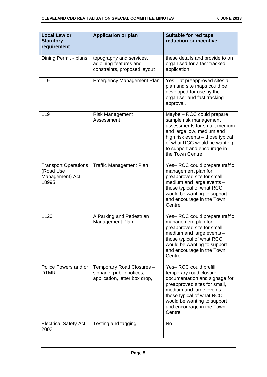| <b>Local Law or</b><br><b>Statutory</b><br>requirement               | <b>Application or plan</b>                                                             | Suitable for red tape<br>reduction or incentive                                                                                                                                                                                                   |
|----------------------------------------------------------------------|----------------------------------------------------------------------------------------|---------------------------------------------------------------------------------------------------------------------------------------------------------------------------------------------------------------------------------------------------|
| Dining Permit - plans                                                | topography and services,<br>adjoining features and<br>constraints, proposed layout     | these details and provide to an<br>organised for a fast tracked<br>application.                                                                                                                                                                   |
| LL <sub>9</sub>                                                      | <b>Emergency Management Plan</b>                                                       | Yes – at preapproved sites a<br>plan and site maps could be<br>developed for use by the<br>organiser and fast tracking<br>approval.                                                                                                               |
| LL <sub>9</sub>                                                      | <b>Risk Management</b><br>Assessment                                                   | Maybe - RCC could prepare<br>sample risk management<br>assessments for small, medium<br>and large low, medium and<br>high risk events - those typical<br>of what RCC would be wanting<br>to support and encourage in<br>the Town Centre.          |
| <b>Transport Operations</b><br>(Road Use<br>Management) Act<br>18995 | <b>Traffic Management Plan</b>                                                         | Yes-RCC could prepare traffic<br>management plan for<br>preapproved site for small,<br>medium and large events -<br>those typical of what RCC<br>would be wanting to support<br>and encourage in the Town<br>Centre.                              |
| <b>LL20</b>                                                          | A Parking and Pedestrian<br>Management Plan                                            | Yes-RCC could prepare traffic<br>management plan for<br>preapproved site for small,<br>medium and large events -<br>those typical of what RCC<br>would be wanting to support<br>and encourage in the Town<br>Centre.                              |
| Police Powers and or<br><b>DTMR</b>                                  | Temporary Road Closures -<br>signage, public notices,<br>application, letter box drop, | Yes-RCC could prefill<br>temporary road closure<br>documentation and signage for<br>preapproved sites for small,<br>medium and large events -<br>those typical of what RCC<br>would be wanting to support<br>and encourage in the Town<br>Centre. |
| <b>Electrical Safety Act</b><br>2002                                 | Testing and tagging                                                                    | <b>No</b>                                                                                                                                                                                                                                         |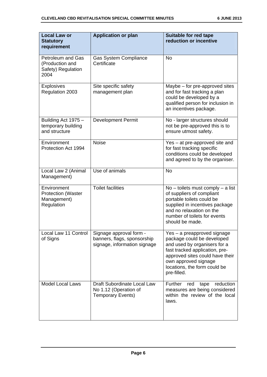| <b>Local Law or</b><br><b>Statutory</b><br>requirement                    | <b>Application or plan</b>                                                             | Suitable for red tape<br>reduction or incentive                                                                                                                                                                                       |
|---------------------------------------------------------------------------|----------------------------------------------------------------------------------------|---------------------------------------------------------------------------------------------------------------------------------------------------------------------------------------------------------------------------------------|
| <b>Petroleum and Gas</b><br>(Production and<br>Safety) Regulation<br>2004 | <b>Gas System Compliance</b><br>Certificate                                            | <b>No</b>                                                                                                                                                                                                                             |
| <b>Explosives</b><br>Regulation 2003                                      | Site specific safety<br>management plan                                                | Maybe – for pre-approved sites<br>and for fast tracking a plan<br>could be developed by a<br>qualified person for inclusion in<br>an incentives package.                                                                              |
| Building Act 1975 -<br>temporary building<br>and structure                | <b>Development Permit</b>                                                              | No - larger structures should<br>not be pre-approved this is to<br>ensure utmost safety.                                                                                                                                              |
| Environment<br>Protection Act 1994                                        | <b>Noise</b>                                                                           | Yes – at pre-approved site and<br>for fast tracking specific<br>conditions could be developed<br>and agreed to by the organiser.                                                                                                      |
| Local Law 2 (Animal<br>Management)                                        | Use of animals                                                                         | <b>No</b>                                                                                                                                                                                                                             |
| Environment<br><b>Protection (Waster</b><br>Management)<br>Regulation     | <b>Toilet facilities</b>                                                               | $No -$ toilets must comply $- a$ list<br>of suppliers of compliant<br>portable toilets could be<br>supplied in incentives package<br>and no relaxation on the<br>number of toilets for events<br>should be made.                      |
| Local Law 11 Control<br>of Signs                                          | Signage approval form -<br>banners, flags, sponsorship<br>signage, information signage | Yes – a preapproved signage<br>package could be developed<br>and used by organisers for a<br>fast tracked application, pre-<br>approved sites could have their<br>own approved signage<br>locations, the form could be<br>pre-filled. |
| <b>Model Local Laws</b>                                                   | Draft Subordinate Local Law<br>No 1.12 (Operation of<br><b>Temporary Events)</b>       | Further<br>reduction<br>red<br>tape<br>measures are being considered<br>within the review of the local<br>laws.                                                                                                                       |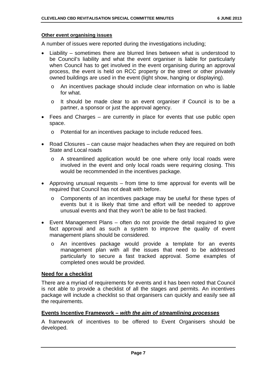#### **Other event organising issues**

A number of issues were reported during the investigations including;

- Liability sometimes there are blurred lines between what is understood to be Council's liability and what the event organiser is liable for particularly when Council has to get involved in the event organising during an approval process, the event is held on RCC property or the street or other privately owned buildings are used in the event (light show, hanging or displaying).
	- o An incentives package should include clear information on who is liable for what.
	- o It should be made clear to an event organiser if Council is to be a partner, a sponsor or just the approval agency.
- Fees and Charges are currently in place for events that use public open space.
	- o Potential for an incentives package to include reduced fees.
- Road Closures can cause major headaches when they are required on both State and Local roads
	- o A streamlined application would be one where only local roads were involved in the event and only local roads were requiring closing. This would be recommended in the incentives package.
- Approving unusual requests from time to time approval for events will be required that Council has not dealt with before.
	- o Components of an incentives package may be useful for these types of events but it is likely that time and effort will be needed to approve unusual events and that they won't be able to be fast tracked.
- Event Management Plans often do not provide the detail required to give fact approval and as such a system to improve the quality of event management plans should be considered.
	- o An incentives package would provide a template for an events management plan with all the issues that need to be addressed particularly to secure a fast tracked approval. Some examples of completed ones would be provided.

#### **Need for a checklist**

There are a myriad of requirements for events and it has been noted that Council is not able to provide a checklist of all the stages and permits. An incentives package will include a checklist so that organisers can quickly and easily see all the requirements.

#### **Events Incentive Framework –** *with the aim of streamlining processes*

A framework of incentives to be offered to Event Organisers should be developed.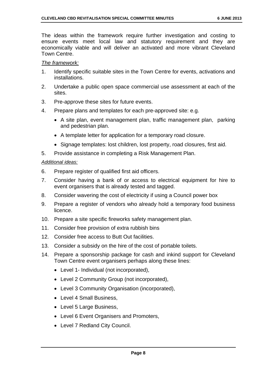The ideas within the framework require further investigation and costing to ensure events meet local law and statutory requirement and they are economically viable and will deliver an activated and more vibrant Cleveland Town Centre.

#### *The framework:*

- 1. Identify specific suitable sites in the Town Centre for events, activations and installations.
- 2. Undertake a public open space commercial use assessment at each of the sites.
- 3. Pre-approve these sites for future events.
- 4. Prepare plans and templates for each pre-approved site: e.g.
	- A site plan, event management plan, traffic management plan, parking and pedestrian plan.
	- A template letter for application for a temporary road closure.
	- Signage templates: lost children, lost property, road closures, first aid.
- 5. Provide assistance in completing a Risk Management Plan.

#### *Additional ideas:*

- 6. Prepare register of qualified first aid officers.
- 7. Consider having a bank of or access to electrical equipment for hire to event organisers that is already tested and tagged.
- 8. Consider wavering the cost of electricity if using a Council power box
- 9. Prepare a register of vendors who already hold a temporary food business licence.
- 10. Prepare a site specific fireworks safety management plan.
- 11. Consider free provision of extra rubbish bins
- 12. Consider free access to Butt Out facilities.
- 13. Consider a subsidy on the hire of the cost of portable toilets.
- 14. Prepare a sponsorship package for cash and inkind support for Cleveland Town Centre event organisers perhaps along these lines:
	- Level 1- Individual (not incorporated),
	- Level 2 Community Group (not incorporated),
	- Level 3 Community Organisation (incorporated),
	- Level 4 Small Business.
	- Level 5 Large Business,
	- Level 6 Event Organisers and Promoters.
	- Level 7 Redland City Council.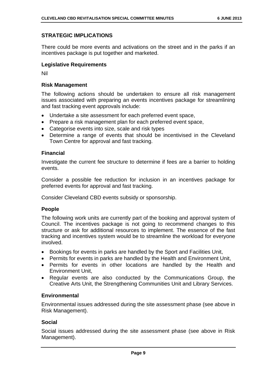#### **STRATEGIC IMPLICATIONS**

There could be more events and activations on the street and in the parks if an incentives package is put together and marketed.

#### **Legislative Requirements**

Nil

#### **Risk Management**

The following actions should be undertaken to ensure all risk management issues associated with preparing an events incentives package for streamlining and fast tracking event approvals include:

- Undertake a site assessment for each preferred event space,
- Prepare a risk management plan for each preferred event space,
- Categorise events into size, scale and risk types
- Determine a range of events that should be incentivised in the Cleveland Town Centre for approval and fast tracking.

#### **Financial**

Investigate the current fee structure to determine if fees are a barrier to holding events.

Consider a possible fee reduction for inclusion in an incentives package for preferred events for approval and fast tracking.

Consider Cleveland CBD events subsidy or sponsorship.

#### **People**

The following work units are currently part of the booking and approval system of Council. The incentives package is not going to recommend changes to this structure or ask for additional resources to implement. The essence of the fast tracking and incentives system would be to streamline the workload for everyone involved.

- Bookings for events in parks are handled by the Sport and Facilities Unit,
- Permits for events in parks are handled by the Health and Environment Unit,
- Permits for events in other locations are handled by the Health and Environment Unit,
- Regular events are also conducted by the Communications Group, the Creative Arts Unit, the Strengthening Communities Unit and Library Services.

#### **Environmental**

Environmental issues addressed during the site assessment phase (see above in Risk Management).

#### **Social**

Social issues addressed during the site assessment phase (see above in Risk Management).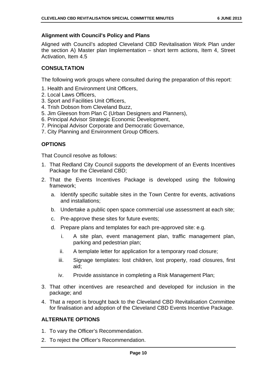#### **Alignment with Council's Policy and Plans**

Aligned with Council's adopted Cleveland CBD Revitalisation Work Plan under the section A) Master plan Implementation – short term actions, Item 4, Street Activation, Item 4.5

#### **CONSULTATION**

The following work groups where consulted during the preparation of this report:

- 1. Health and Environment Unit Officers,
- 2. Local Laws Officers,
- 3. Sport and Facilities Unit Officers,
- 4. Trish Dobson from Cleveland Buzz,
- 5. Jim Gleeson from Plan C (Urban Designers and Planners),
- 6. Principal Advisor Strategic Economic Development,
- 7. Principal Advisor Corporate and Democratic Governance,
- 7. City Planning and Environment Group Officers.

#### **OPTIONS**

That Council resolve as follows:

- 1. That Redland City Council supports the development of an Events Incentives Package for the Cleveland CBD;
- 2. That the Events Incentives Package is developed using the following framework;
	- a. Identify specific suitable sites in the Town Centre for events, activations and installations;
	- b. Undertake a public open space commercial use assessment at each site;
	- c. Pre-approve these sites for future events;
	- d. Prepare plans and templates for each pre-approved site: e.g.
		- i. A site plan, event management plan, traffic management plan, parking and pedestrian plan;
		- ii. A template letter for application for a temporary road closure;
		- iii. Signage templates: lost children, lost property, road closures, first aid;
		- iv. Provide assistance in completing a Risk Management Plan;
- 3. That other incentives are researched and developed for inclusion in the package; and
- 4. That a report is brought back to the Cleveland CBD Revitalisation Committee for finalisation and adoption of the Cleveland CBD Events Incentive Package.

#### **ALTERNATE OPTIONS**

- 1. To vary the Officer's Recommendation.
- 2. To reject the Officer's Recommendation.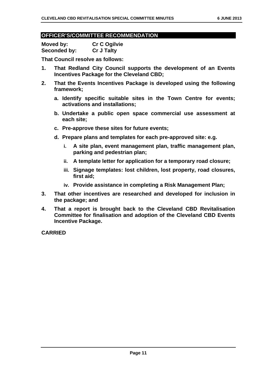#### **OFFICER'S/COMMITTEE RECOMMENDATION**

**Moved by: Cr C Ogilvie Seconded by: Cr J Talty** 

**That Council resolve as follows:** 

- **1. That Redland City Council supports the development of an Events Incentives Package for the Cleveland CBD;**
- **2. That the Events Incentives Package is developed using the following framework;** 
	- **a. Identify specific suitable sites in the Town Centre for events; activations and installations;**
	- **b. Undertake a public open space commercial use assessment at each site;**
	- **c. Pre-approve these sites for future events;**
	- **d. Prepare plans and templates for each pre-approved site: e.g.** 
		- **i. A site plan, event management plan, traffic management plan, parking and pedestrian plan;**
		- **ii. A template letter for application for a temporary road closure;**
		- **iii. Signage templates: lost children, lost property, road closures, first aid;**
		- **iv. Provide assistance in completing a Risk Management Plan;**
- **3. That other incentives are researched and developed for inclusion in the package; and**
- **4. That a report is brought back to the Cleveland CBD Revitalisation Committee for finalisation and adoption of the Cleveland CBD Events Incentive Package.**

**CARRIED**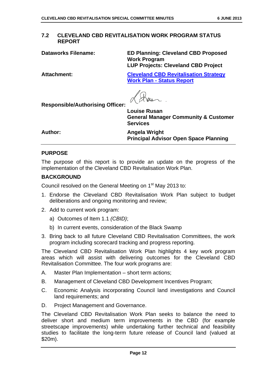#### **7.2 CLEVELAND CBD REVITALISATION WORK PROGRAM STATUS REPORT**

**Dataworks Filename: ED Planning: Cleveland CBD Proposed Work Program LUP Projects: Cleveland CBD Project** 

**Attachment: Cleveland CBD Revitalisation Strategy Work Plan - Status Report**

**Responsible/Authorising Officer:** 

**Louise Rusan General Manager Community & Customer Services** 

Author: **Author: Angela Wright Principal Advisor Open Space Planning** 

#### **PURPOSE**

The purpose of this report is to provide an update on the progress of the implementation of the Cleveland CBD Revitalisation Work Plan.

#### **BACKGROUND**

Council resolved on the General Meeting on 1<sup>st</sup> May 2013 to:

- 1. Endorse the Cleveland CBD Revitalisation Work Plan subject to budget deliberations and ongoing monitoring and review;
- 2. Add to current work program:
	- a) Outcomes of Item 1.1 *(CBID)*;
	- b) In current events, consideration of the Black Swamp
- 3. Bring back to all future Cleveland CBD Revitalisation Committees, the work program including scorecard tracking and progress reporting.

The Cleveland CBD Revitalisation Work Plan highlights 4 key work program areas which will assist with delivering outcomes for the Cleveland CBD Revitalisation Committee. The four work programs are:

- A. Master Plan Implementation short term actions;
- B. Management of Cleveland CBD Development Incentives Program;
- C. Economic Analysis incorporating Council land investigations and Council land requirements; and
- D. Project Management and Governance.

The Cleveland CBD Revitalisation Work Plan seeks to balance the need to deliver short and medium term improvements in the CBD (for example streetscape improvements) while undertaking further technical and feasibility studies to facilitate the long-term future release of Council land (valued at \$20m).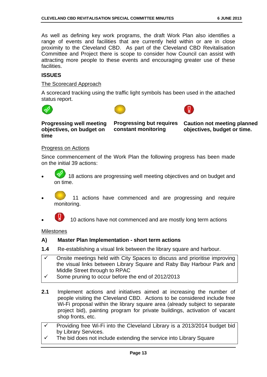As well as defining key work programs, the draft Work Plan also identifies a range of events and facilities that are currently held within or are in close proximity to the Cleveland CBD. As part of the Cleveland CBD Revitalisation Committee and Project there is scope to consider how Council can assist with attracting more people to these events and encouraging greater use of these facilities.

#### **ISSUES**

#### The Scorecard Approach

A scorecard tracking using the traffic light symbols has been used in the attached status report.







**Progressing well meeting objectives, on budget on time** 

**Progressing but requires constant monitoring** 

**Caution not meeting planned objectives, budget or time.** 

#### Progress on Actions

Since commencement of the Work Plan the following progress has been made on the initial 39 actions:

- 18 actions are progressing well meeting objectives and on budget and on time.
- 11 actions have commenced and are progressing and require monitoring.
- 10 actions have not commenced and are mostly long term actions

Milestones

#### **A) Master Plan Implementation - short term actions**

- **1.4** Re-establishing a visual link between the library square and harbour.
- Onsite meetings held with City Spaces to discuss and prioritise improving the visual links between Library Square and Raby Bay Harbour Park and Middle Street through to RPAC
- Some pruning to occur before the end of 2012/2013
- **2.1** Implement actions and initiatives aimed at increasing the number of people visiting the Cleveland CBD. Actions to be considered include free Wi-Fi proposal within the library square area (already subject to separate project bid), painting program for private buildings, activation of vacant shop fronts, etc.
- Providing free Wi-Fi into the Cleveland Library is a 2013/2014 budget bid by Library Services.
- The bid does not include extending the service into Library Square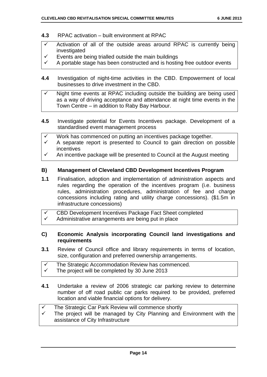- **4.3** RPAC activation built environment at RPAC
- $\checkmark$  Activation of all of the outside areas around RPAC is currently being investigated
- Events are being trialled outside the main buildings
- A portable stage has been constructed and is hosting free outdoor events
- **4.4** Investigation of night-time activities in the CBD. Empowerment of local businesses to drive investment in the CBD.
- Night time events at RPAC including outside the building are being used as a way of driving acceptance and attendance at night time events in the Town Centre – in addition to Raby Bay Harbour.
- **4.5** Investigate potential for Events Incentives package. Development of a standardised event management process
- Work has commenced on putting an incentives package together.
- A separate report is presented to Council to gain direction on possible incentives
- $\checkmark$  An incentive package will be presented to Council at the August meeting

#### **B) Management of Cleveland CBD Development Incentives Program**

- **1.1** Finalisation, adoption and implementation of administration aspects and rules regarding the operation of the incentives program (i.e. business rules, administration procedures, administration of fee and charge concessions including rating and utility charge concessions). (\$1.5m in infrastructure concessions)
- $\checkmark$  CBD Development Incentives Package Fact Sheet completed
- Administrative arrangements are being put in place

#### **C) Economic Analysis incorporating Council land investigations and requirements**

- **3.1** Review of Council office and library requirements in terms of location, size, configuration and preferred ownership arrangements.
- $\checkmark$  The Strategic Accommodation Review has commenced.
- The project will be completed by 30 June 2013
- **4.1** Undertake a review of 2006 strategic car parking review to determine number of off road public car parks required to be provided, preferred location and viable financial options for delivery.

| $\checkmark$ | The Strategic Car Park Review will commence shortly                                                        |
|--------------|------------------------------------------------------------------------------------------------------------|
| $\checkmark$ | The project will be managed by City Planning and Environment with the<br>assistance of City Infrastructure |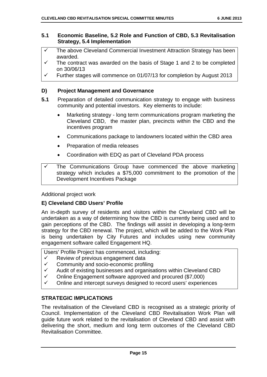#### **5.1 Economic Baseline, 5.2 Role and Function of CBD, 5.3 Revitalisation Strategy, 5.4 Implementation**

- $\checkmark$  The above Cleveland Commercial Investment Attraction Strategy has been awarded.
- $\checkmark$  The contract was awarded on the basis of Stage 1 and 2 to be completed on 30/06/13
- $\checkmark$  Further stages will commence on 01/07/13 for completion by August 2013

#### **D) Project Management and Governance**

- **5.1** Preparation of detailed communication strategy to engage with business community and potential investors. Key elements to include:
	- Marketing strategy long term communications program marketing the Cleveland CBD, the master plan, precincts within the CBD and the incentives program
	- Communications package to landowners located within the CBD area
	- Preparation of media releases
	- Coordination with EDQ as part of Cleveland PDA process

Additional project work

#### **E) Cleveland CBD Users' Profile**

An in-depth survey of residents and visitors within the Cleveland CBD will be undertaken as a way of determining how the CBD is currently being used and to gain perceptions of the CBD. The findings will assist in developing a long-term strategy for the CBD renewal. The project, which will be added to the Work Plan is being undertaken by City Futures and includes using new community engagement software called Engagement HQ.

Users' Profile Project has commenced, including:

- $\checkmark$  Review of previous engagement data
- $\checkmark$  Community and socio-economic profiling
- $\checkmark$  Audit of existing businesses and organisations within Cleveland CBD
- $\checkmark$  Online Engagement software approved and procured (\$7,000)
- $\checkmark$  Online and intercept surveys designed to record users' experiences

#### **STRATEGIC IMPLICATIONS**

The revitalisation of the Cleveland CBD is recognised as a strategic priority of Council. Implementation of the Cleveland CBD Revitalisation Work Plan will guide future work related to the revitalisation of Cleveland CBD and assist with delivering the short, medium and long term outcomes of the Cleveland CBD Revitalisation Committee.

The Communications Group have commenced the above marketing strategy which includes a \$75,000 commitment to the promotion of the Development Incentives Package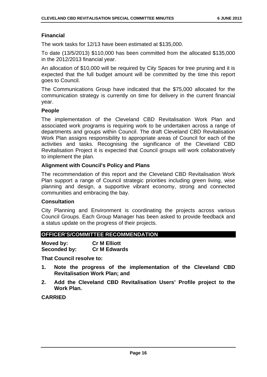#### **Financial**

The work tasks for 12/13 have been estimated at \$135,000.

To date (13/5/2013) \$110,000 has been committed from the allocated \$135,000 in the 2012/2013 financial year.

An allocation of \$10,000 will be required by City Spaces for tree pruning and it is expected that the full budget amount will be committed by the time this report goes to Council.

The Communications Group have indicated that the \$75,000 allocated for the communication strategy is currently on time for delivery in the current financial year.

#### **People**

The implementation of the Cleveland CBD Revitalisation Work Plan and associated work programs is requiring work to be undertaken across a range of departments and groups within Council. The draft Cleveland CBD Revitalisation Work Plan assigns responsibility to appropriate areas of Council for each of the activities and tasks. Recognising the significance of the Cleveland CBD Revitalisation Project it is expected that Council groups will work collaboratively to implement the plan.

#### **Alignment with Council's Policy and Plans**

The recommendation of this report and the Cleveland CBD Revitalisation Work Plan support a range of Council strategic priorities including green living, wise planning and design, a supportive vibrant economy, strong and connected communities and embracing the bay.

#### **Consultation**

City Planning and Environment is coordinating the projects across various Council Groups. Each Group Manager has been asked to provide feedback and a status update on the progress of their projects.

#### **OFFICER'S/COMMITTEE RECOMMENDATION**

| Moved by:    | <b>Cr M Elliott</b> |
|--------------|---------------------|
| Seconded by: | <b>Cr M Edwards</b> |

**That Council resolve to:** 

- **1. Note the progress of the implementation of the Cleveland CBD Revitalisation Work Plan; and**
- **2. Add the Cleveland CBD Revitalisation Users' Profile project to the Work Plan.**

#### **CARRIED**